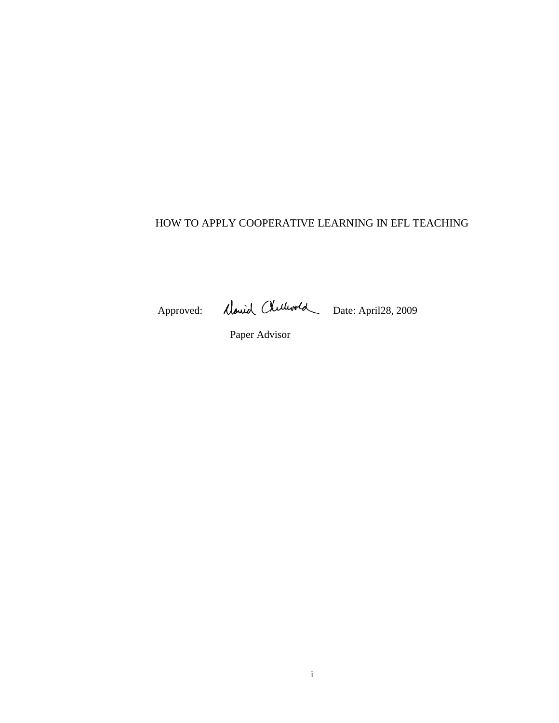# HOW TO APPLY COOPERATIVE LEARNING IN EFL TEACHING

Approved: Charles Chillwold Date: April28, 2009

Paper Advisor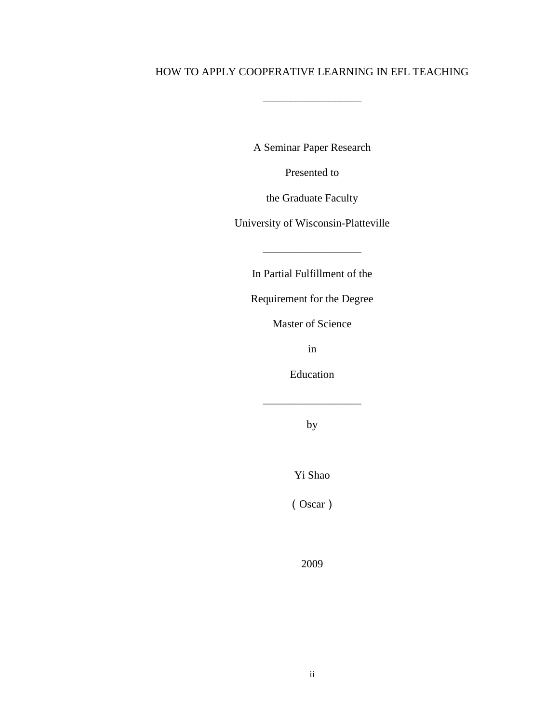## HOW TO APPLY COOPERATIVE LEARNING IN EFL TEACHING

\_\_\_\_\_\_\_\_\_\_\_\_\_\_\_\_\_\_

A Seminar Paper Research

Presented to

the Graduate Faculty

University of Wisconsin-Platteville

In Partial Fulfillment of the

Requirement for the Degree

Master of Science

in

Education

\_\_\_\_\_\_\_\_\_\_\_\_\_\_\_\_\_\_

by

Yi Shao

(Oscar)

2009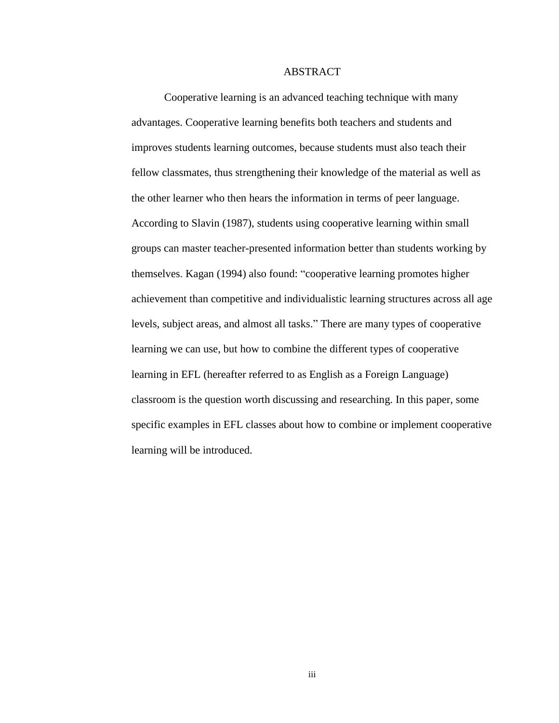#### ABSTRACT

Cooperative learning is an advanced teaching technique with many advantages. Cooperative learning benefits both teachers and students and improves students learning outcomes, because students must also teach their fellow classmates, thus strengthening their knowledge of the material as well as the other learner who then hears the information in terms of peer language. According to Slavin (1987), students using cooperative learning within small groups can master teacher-presented information better than students working by themselves. Kagan (1994) also found: "cooperative learning promotes higher achievement than competitive and individualistic learning structures across all age levels, subject areas, and almost all tasks." There are many types of cooperative learning we can use, but how to combine the different types of cooperative learning in EFL (hereafter referred to as English as a Foreign Language) classroom is the question worth discussing and researching. In this paper, some specific examples in EFL classes about how to combine or implement cooperative learning will be introduced.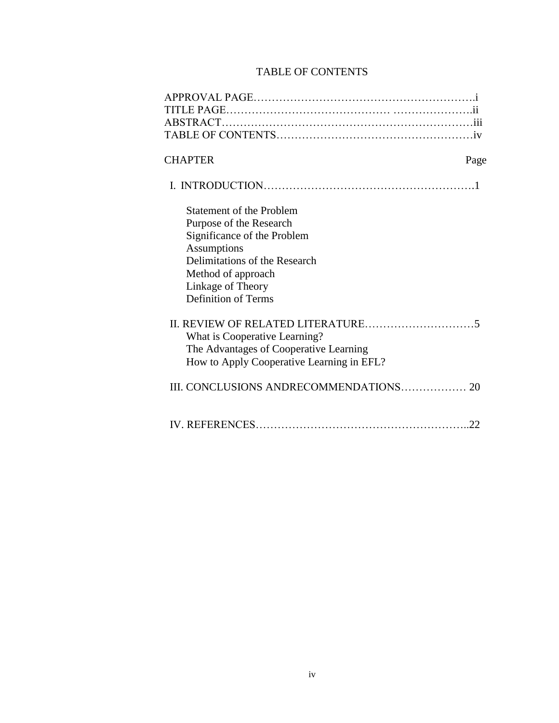# TABLE OF CONTENTS

| <b>CHAPTER</b>                            | Page |
|-------------------------------------------|------|
|                                           |      |
| <b>Statement of the Problem</b>           |      |
| Purpose of the Research                   |      |
| Significance of the Problem               |      |
| Assumptions                               |      |
| Delimitations of the Research             |      |
| Method of approach<br>Linkage of Theory   |      |
| <b>Definition of Terms</b>                |      |
|                                           |      |
|                                           |      |
| What is Cooperative Learning?             |      |
| The Advantages of Cooperative Learning    |      |
| How to Apply Cooperative Learning in EFL? |      |
|                                           |      |
|                                           |      |
|                                           |      |
|                                           | 22   |
|                                           |      |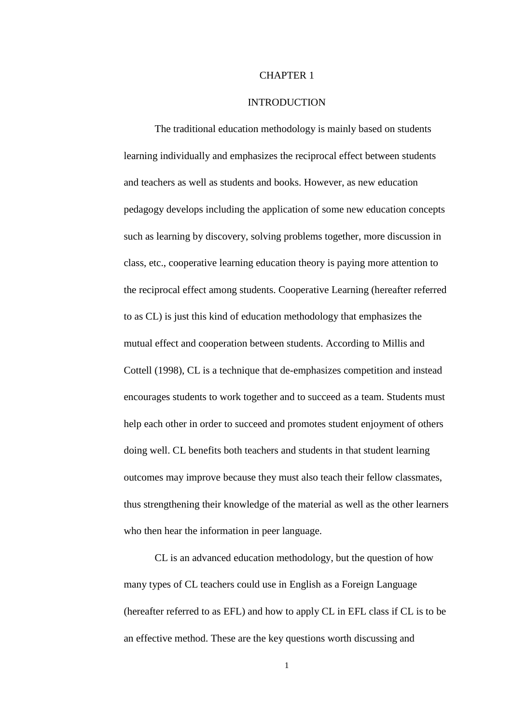#### CHAPTER 1

### **INTRODUCTION**

The traditional education methodology is mainly based on students learning individually and emphasizes the reciprocal effect between students and teachers as well as students and books. However, as new education pedagogy develops including the application of some new education concepts such as learning by discovery, solving problems together, more discussion in class, etc., cooperative learning education theory is paying more attention to the reciprocal effect among students. Cooperative Learning (hereafter referred to as CL) is just this kind of education methodology that emphasizes the mutual effect and cooperation between students. According to Millis and Cottell (1998), CL is a technique that de-emphasizes competition and instead encourages students to work together and to succeed as a team. Students must help each other in order to succeed and promotes student enjoyment of others doing well. CL benefits both teachers and students in that student learning outcomes may improve because they must also teach their fellow classmates, thus strengthening their knowledge of the material as well as the other learners who then hear the information in peer language.

CL is an advanced education methodology, but the question of how many types of CL teachers could use in English as a Foreign Language (hereafter referred to as EFL) and how to apply CL in EFL class if CL is to be an effective method. These are the key questions worth discussing and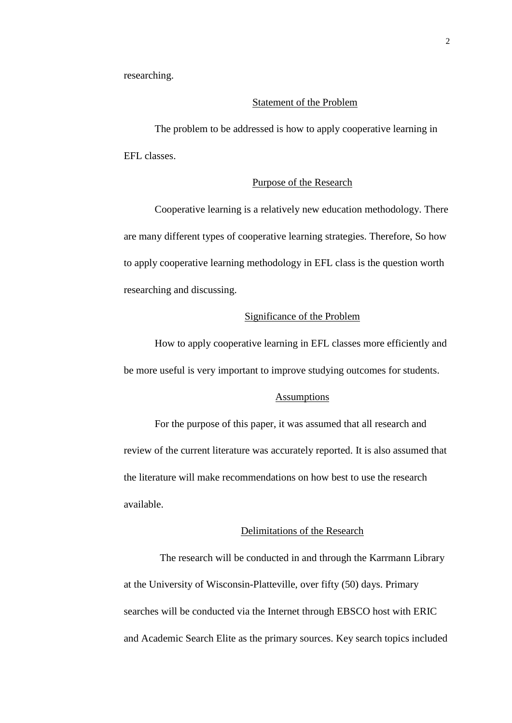researching.

### Statement of the Problem

The problem to be addressed is how to apply cooperative learning in EFL classes.

## Purpose of the Research

Cooperative learning is a relatively new education methodology. There are many different types of cooperative learning strategies. Therefore, So how to apply cooperative learning methodology in EFL class is the question worth researching and discussing.

## Significance of the Problem

How to apply cooperative learning in EFL classes more efficiently and be more useful is very important to improve studying outcomes for students.

#### **Assumptions**

For the purpose of this paper, it was assumed that all research and review of the current literature was accurately reported. It is also assumed that the literature will make recommendations on how best to use the research available.

## Delimitations of the Research

The research will be conducted in and through the Karrmann Library at the University of Wisconsin-Platteville, over fifty (50) days. Primary searches will be conducted via the Internet through EBSCO host with ERIC and Academic Search Elite as the primary sources. Key search topics included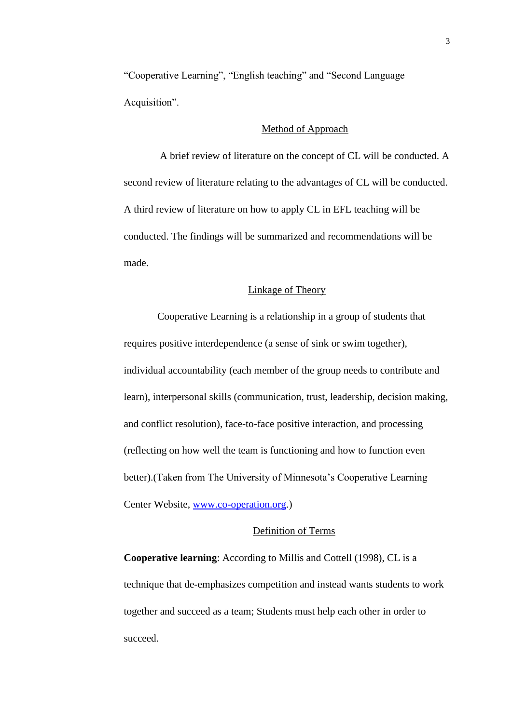"Cooperative Learning", "English teaching" and "Second Language Acquisition".

## Method of Approach

A brief review of literature on the concept of CL will be conducted. A second review of literature relating to the advantages of CL will be conducted. A third review of literature on how to apply CL in EFL teaching will be conducted. The findings will be summarized and recommendations will be made.

### Linkage of Theory

Cooperative Learning is a relationship in a group of students that requires positive interdependence (a sense of sink or swim together), individual accountability (each member of the group needs to contribute and learn), interpersonal skills (communication, trust, leadership, decision making, and conflict resolution), face-to-face positive interaction, and processing (reflecting on how well the team is functioning and how to function even better).(Taken from The University of Minnesota's Cooperative Learning Center Website, [www.co-operation.org.](http://www.co-operation.org/))

## Definition of Terms

**Cooperative learning**: According to Millis and Cottell (1998), CL is a technique that de-emphasizes competition and instead wants students to work together and succeed as a team; Students must help each other in order to succeed.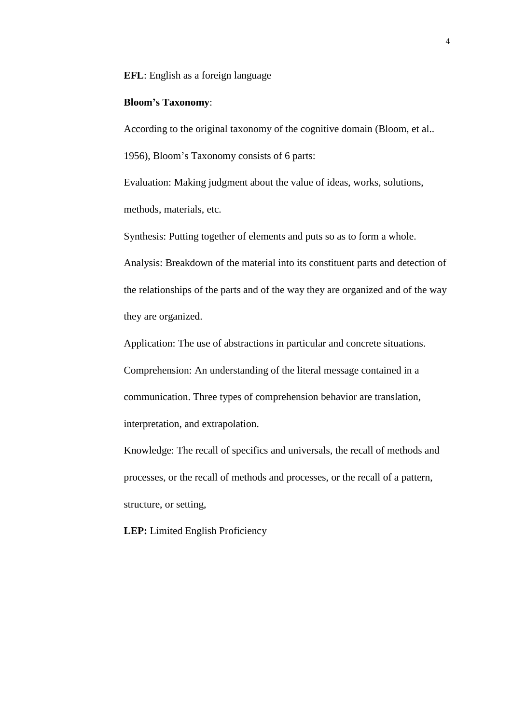**EFL**: English as a foreign language

## **Bloom's Taxonomy**:

According to the original taxonomy of the cognitive domain (Bloom, et al.. 1956), Bloom's Taxonomy consists of 6 parts:

Evaluation: Making judgment about the value of ideas, works, solutions, methods, materials, etc.

Synthesis: Putting together of elements and puts so as to form a whole. Analysis: Breakdown of the material into its constituent parts and detection of the relationships of the parts and of the way they are organized and of the way

they are organized.

Application: The use of abstractions in particular and concrete situations.

Comprehension: An understanding of the literal message contained in a communication. Three types of comprehension behavior are translation,

interpretation, and extrapolation.

Knowledge: The recall of specifics and universals, the recall of methods and processes, or the recall of methods and processes, or the recall of a pattern, structure, or setting,

**LEP:** Limited English Proficiency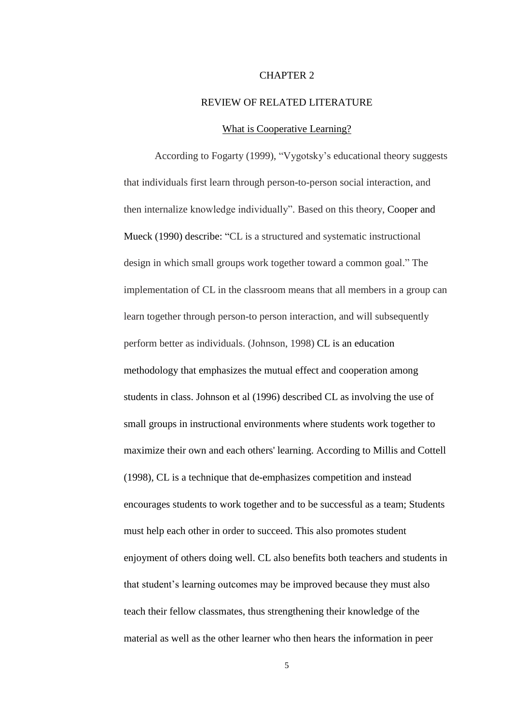#### CHAPTER 2

### REVIEW OF RELATED LITERATURE

### What is Cooperative Learning?

According to Fogarty (1999), "Vygotsky's educational theory suggests that individuals first learn through person-to-person social interaction, and then internalize knowledge individually". Based on this theory, Cooper and Mueck (1990) describe: "CL is a structured and systematic instructional design in which small groups work together toward a common goal." The implementation of CL in the classroom means that all members in a group can learn together through person-to person interaction, and will subsequently perform better as individuals. (Johnson, 1998) CL is an education methodology that emphasizes the mutual effect and cooperation among students in class. Johnson et al (1996) described CL as involving the use of small groups in instructional environments where students work together to maximize their own and each others' learning. According to Millis and Cottell (1998), CL is a technique that de-emphasizes competition and instead encourages students to work together and to be successful as a team; Students must help each other in order to succeed. This also promotes student enjoyment of others doing well. CL also benefits both teachers and students in that student's learning outcomes may be improved because they must also teach their fellow classmates, thus strengthening their knowledge of the material as well as the other learner who then hears the information in peer

5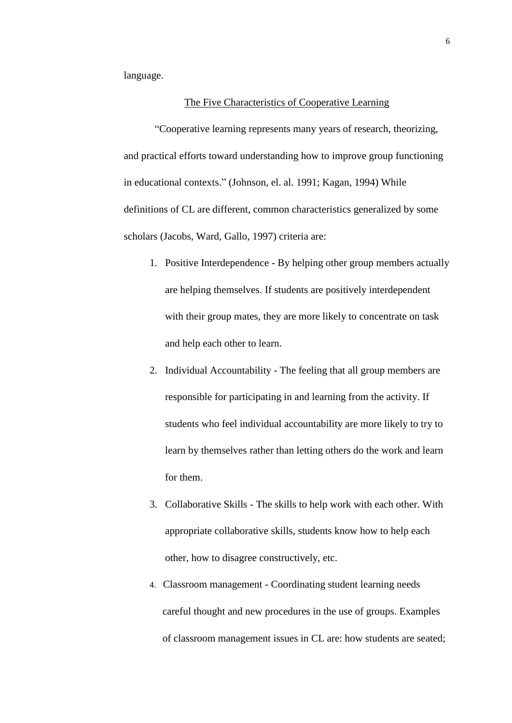language.

## The Five Characteristics of Cooperative Learning

"Cooperative learning represents many years of research, theorizing, and practical efforts toward understanding how to improve group functioning in educational contexts." (Johnson, el. al. 1991; Kagan, 1994) While definitions of CL are different, common characteristics generalized by some scholars (Jacobs, Ward, Gallo, 1997) criteria are:

- 1. Positive Interdependence By helping other group members actually are helping themselves. If students are positively interdependent with their group mates, they are more likely to concentrate on task and help each other to learn.
- 2. Individual Accountability The feeling that all group members are responsible for participating in and learning from the activity. If students who feel individual accountability are more likely to try to learn by themselves rather than letting others do the work and learn for them.
- 3. Collaborative Skills The skills to help work with each other. With appropriate collaborative skills, students know how to help each other, how to disagree constructively, etc.
- 4. Classroom management Coordinating student learning needs careful thought and new procedures in the use of groups. Examples of classroom management issues in CL are: how students are seated;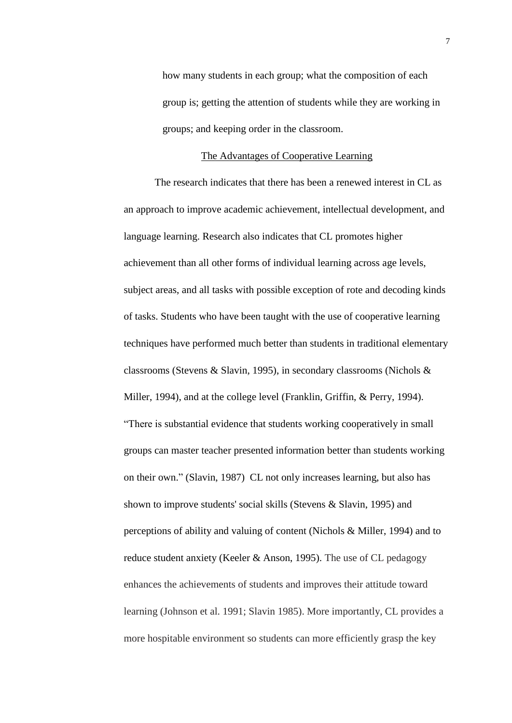how many students in each group; what the composition of each group is; getting the attention of students while they are working in groups; and keeping order in the classroom.

## The Advantages of Cooperative Learning

The research indicates that there has been a renewed interest in CL as an approach to improve academic achievement, intellectual development, and language learning. Research also indicates that CL promotes higher achievement than all other forms of individual learning across age levels, subject areas, and all tasks with possible exception of rote and decoding kinds of tasks. Students who have been taught with the use of cooperative learning techniques have performed much better than students in traditional elementary classrooms (Stevens & Slavin, 1995), in secondary classrooms (Nichols & Miller, 1994), and at the college level (Franklin, Griffin, & Perry, 1994). "There is substantial evidence that students working cooperatively in small groups can master teacher presented information better than students working on their own." (Slavin, 1987) CL not only increases learning, but also has shown to improve students' social skills (Stevens & Slavin, 1995) and perceptions of ability and valuing of content (Nichols & Miller, 1994) and to reduce student anxiety (Keeler & Anson, 1995). The use of CL pedagogy enhances the achievements of students and improves their attitude toward learning (Johnson et al. 1991; Slavin 1985). More importantly, CL provides a more hospitable environment so students can more efficiently grasp the key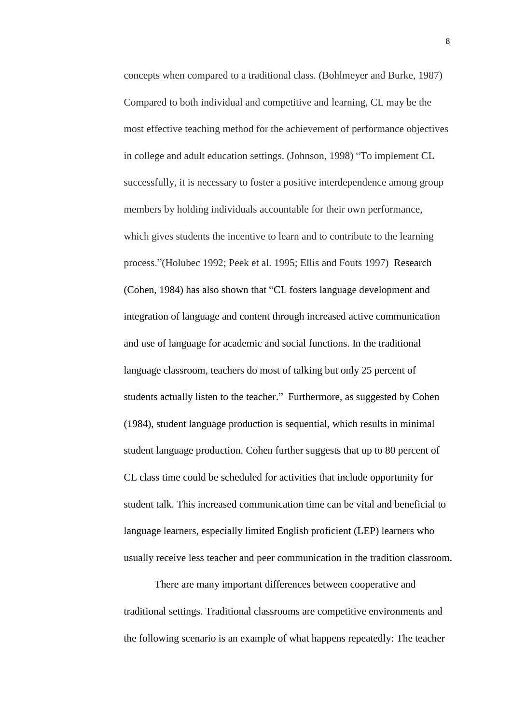concepts when compared to a traditional class. (Bohlmeyer and Burke, 1987) Compared to both individual and competitive and learning, CL may be the most effective teaching method for the achievement of performance objectives in college and adult education settings. (Johnson, 1998) "To implement CL successfully, it is necessary to foster a positive interdependence among group members by holding individuals accountable for their own performance, which gives students the incentive to learn and to contribute to the learning process."(Holubec 1992; Peek et al. 1995; Ellis and Fouts 1997) Research (Cohen, 1984) has also shown that "CL fosters language development and integration of language and content through increased active communication and use of language for academic and social functions. In the traditional language classroom, teachers do most of talking but only 25 percent of students actually listen to the teacher." Furthermore, as suggested by Cohen (1984), student language production is sequential, which results in minimal student language production. Cohen further suggests that up to 80 percent of CL class time could be scheduled for activities that include opportunity for student talk. This increased communication time can be vital and beneficial to language learners, especially limited English proficient (LEP) learners who usually receive less teacher and peer communication in the tradition classroom.

There are many important differences between cooperative and traditional settings. Traditional classrooms are competitive environments and the following scenario is an example of what happens repeatedly: The teacher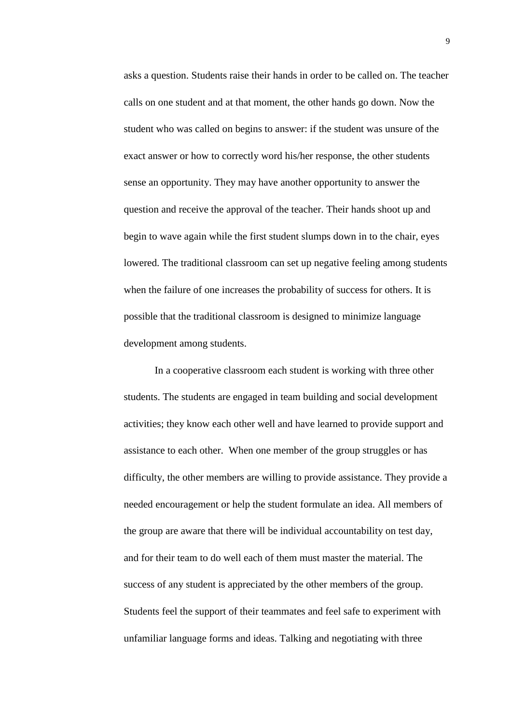asks a question. Students raise their hands in order to be called on. The teacher calls on one student and at that moment, the other hands go down. Now the student who was called on begins to answer: if the student was unsure of the exact answer or how to correctly word his/her response, the other students sense an opportunity. They may have another opportunity to answer the question and receive the approval of the teacher. Their hands shoot up and begin to wave again while the first student slumps down in to the chair, eyes lowered. The traditional classroom can set up negative feeling among students when the failure of one increases the probability of success for others. It is possible that the traditional classroom is designed to minimize language development among students.

In a cooperative classroom each student is working with three other students. The students are engaged in team building and social development activities; they know each other well and have learned to provide support and assistance to each other. When one member of the group struggles or has difficulty, the other members are willing to provide assistance. They provide a needed encouragement or help the student formulate an idea. All members of the group are aware that there will be individual accountability on test day, and for their team to do well each of them must master the material. The success of any student is appreciated by the other members of the group. Students feel the support of their teammates and feel safe to experiment with unfamiliar language forms and ideas. Talking and negotiating with three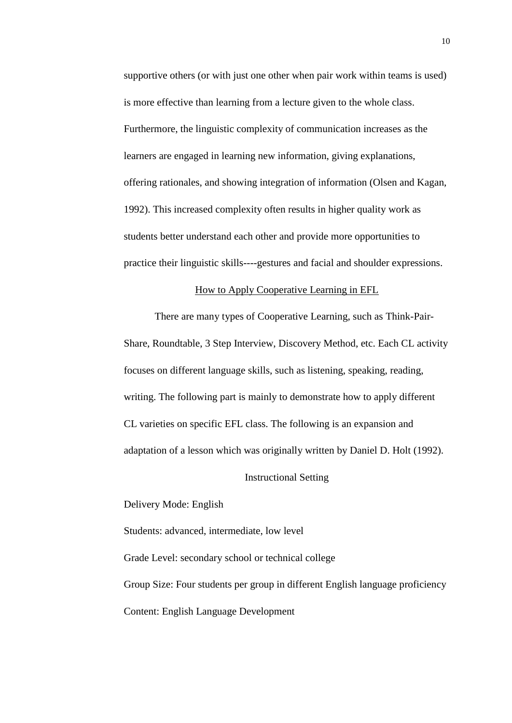supportive others (or with just one other when pair work within teams is used) is more effective than learning from a lecture given to the whole class. Furthermore, the linguistic complexity of communication increases as the learners are engaged in learning new information, giving explanations, offering rationales, and showing integration of information (Olsen and Kagan, 1992). This increased complexity often results in higher quality work as students better understand each other and provide more opportunities to practice their linguistic skills----gestures and facial and shoulder expressions.

### How to Apply Cooperative Learning in EFL

There are many types of Cooperative Learning, such as Think-Pair-Share, Roundtable, 3 Step Interview, Discovery Method, etc. Each CL activity focuses on different language skills, such as listening, speaking, reading, writing. The following part is mainly to demonstrate how to apply different CL varieties on specific EFL class. The following is an expansion and adaptation of a lesson which was originally written by Daniel D. Holt (1992).

#### Instructional Setting

Delivery Mode: English

Students: advanced, intermediate, low level

Grade Level: secondary school or technical college Group Size: Four students per group in different English language proficiency Content: English Language Development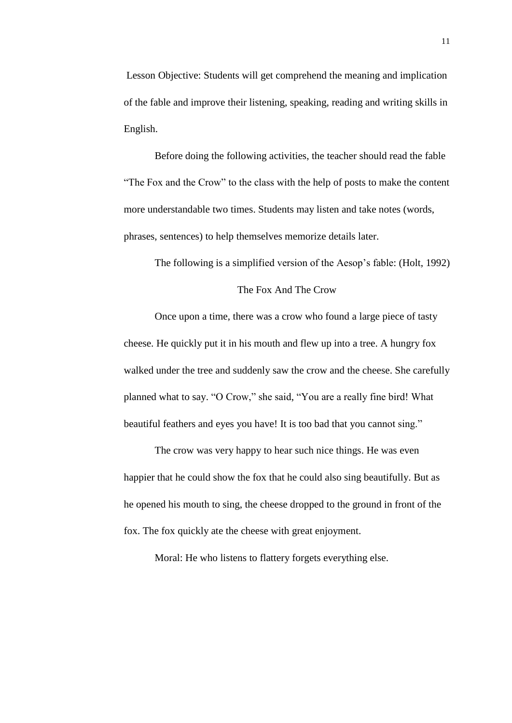Lesson Objective: Students will get comprehend the meaning and implication of the fable and improve their listening, speaking, reading and writing skills in English.

Before doing the following activities, the teacher should read the fable "The Fox and the Crow" to the class with the help of posts to make the content more understandable two times. Students may listen and take notes (words, phrases, sentences) to help themselves memorize details later.

The following is a simplified version of the Aesop's fable: (Holt, 1992)

## The Fox And The Crow

Once upon a time, there was a crow who found a large piece of tasty cheese. He quickly put it in his mouth and flew up into a tree. A hungry fox walked under the tree and suddenly saw the crow and the cheese. She carefully planned what to say. "O Crow," she said, "You are a really fine bird! What beautiful feathers and eyes you have! It is too bad that you cannot sing."

The crow was very happy to hear such nice things. He was even happier that he could show the fox that he could also sing beautifully. But as he opened his mouth to sing, the cheese dropped to the ground in front of the fox. The fox quickly ate the cheese with great enjoyment.

Moral: He who listens to flattery forgets everything else.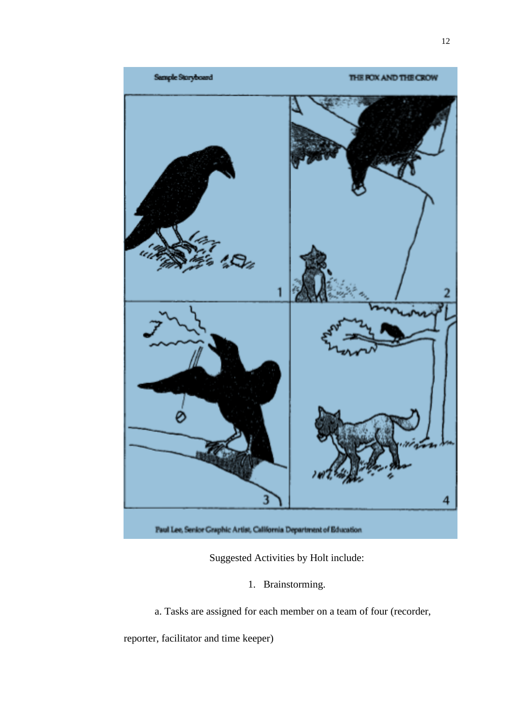

Suggested Activities by Holt include:

1. Brainstorming.

a. Tasks are assigned for each member on a team of four (recorder,

reporter, facilitator and time keeper)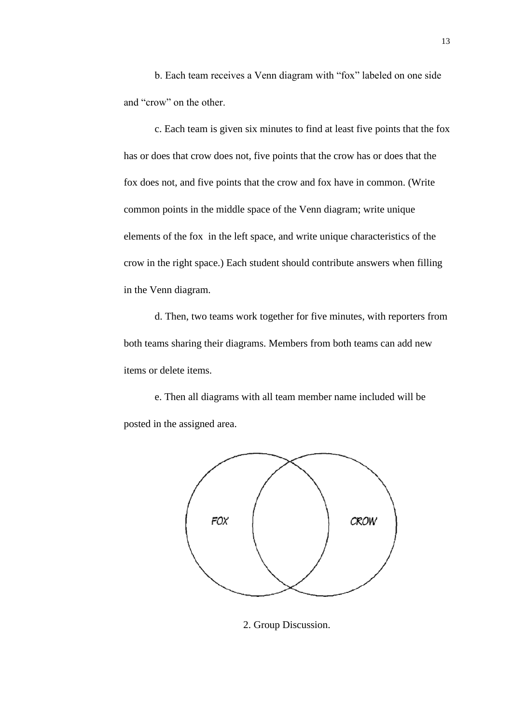b. Each team receives a Venn diagram with "fox" labeled on one side and "crow" on the other.

c. Each team is given six minutes to find at least five points that the fox has or does that crow does not, five points that the crow has or does that the fox does not, and five points that the crow and fox have in common. (Write common points in the middle space of the Venn diagram; write unique elements of the fox in the left space, and write unique characteristics of the crow in the right space.) Each student should contribute answers when filling in the Venn diagram.

d. Then, two teams work together for five minutes, with reporters from both teams sharing their diagrams. Members from both teams can add new items or delete items.

e. Then all diagrams with all team member name included will be posted in the assigned area.



2. Group Discussion.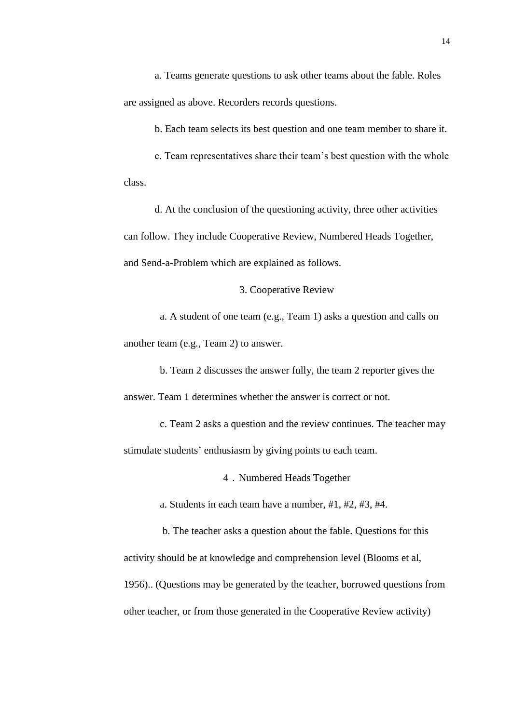a. Teams generate questions to ask other teams about the fable. Roles are assigned as above. Recorders records questions.

b. Each team selects its best question and one team member to share it.

c. Team representatives share their team's best question with the whole class.

d. At the conclusion of the questioning activity, three other activities can follow. They include Cooperative Review, Numbered Heads Together, and Send-a-Problem which are explained as follows.

3. Cooperative Review

a. A student of one team (e.g., Team 1) asks a question and calls on another team (e.g., Team 2) to answer.

b. Team 2 discusses the answer fully, the team 2 reporter gives the answer. Team 1 determines whether the answer is correct or not.

c. Team 2 asks a question and the review continues. The teacher may stimulate students' enthusiasm by giving points to each team.

4.Numbered Heads Together

a. Students in each team have a number, #1, #2, #3, #4.

b. The teacher asks a question about the fable. Questions for this activity should be at knowledge and comprehension level (Blooms et al, 1956).. (Questions may be generated by the teacher, borrowed questions from other teacher, or from those generated in the Cooperative Review activity)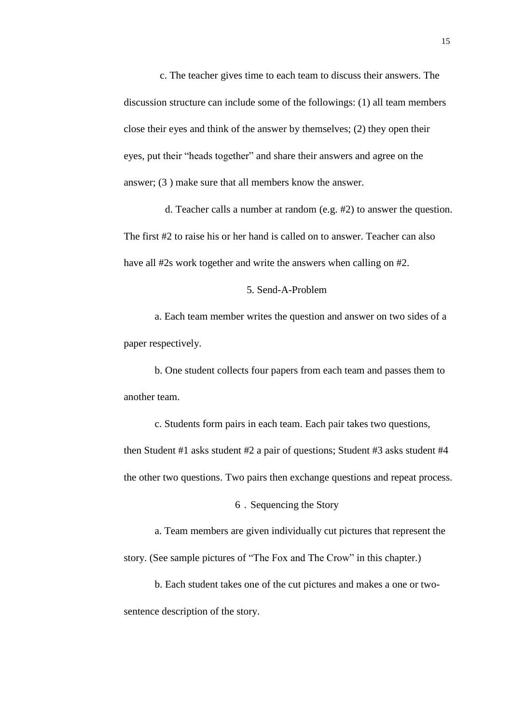c. The teacher gives time to each team to discuss their answers. The discussion structure can include some of the followings: (1) all team members close their eyes and think of the answer by themselves; (2) they open their eyes, put their "heads together" and share their answers and agree on the answer; (3 ) make sure that all members know the answer.

d. Teacher calls a number at random (e.g. #2) to answer the question. The first #2 to raise his or her hand is called on to answer. Teacher can also have all #2s work together and write the answers when calling on #2.

## 5. Send-A-Problem

a. Each team member writes the question and answer on two sides of a paper respectively.

b. One student collects four papers from each team and passes them to another team.

c. Students form pairs in each team. Each pair takes two questions, then Student #1 asks student #2 a pair of questions; Student #3 asks student #4 the other two questions. Two pairs then exchange questions and repeat process.

6.Sequencing the Story

a. Team members are given individually cut pictures that represent the story. (See sample pictures of "The Fox and The Crow" in this chapter.)

b. Each student takes one of the cut pictures and makes a one or twosentence description of the story.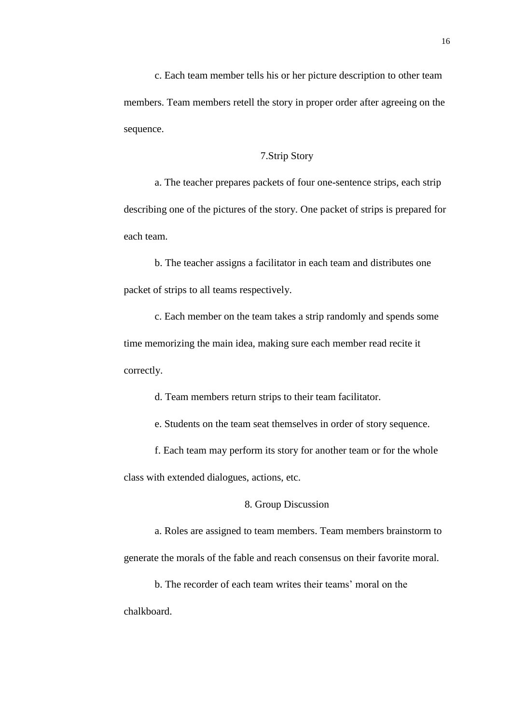c. Each team member tells his or her picture description to other team members. Team members retell the story in proper order after agreeing on the sequence.

## 7.Strip Story

a. The teacher prepares packets of four one-sentence strips, each strip describing one of the pictures of the story. One packet of strips is prepared for each team.

b. The teacher assigns a facilitator in each team and distributes one packet of strips to all teams respectively.

c. Each member on the team takes a strip randomly and spends some time memorizing the main idea, making sure each member read recite it correctly.

d. Team members return strips to their team facilitator.

e. Students on the team seat themselves in order of story sequence.

 f. Each team may perform its story for another team or for the whole class with extended dialogues, actions, etc.

8. Group Discussion

a. Roles are assigned to team members. Team members brainstorm to generate the morals of the fable and reach consensus on their favorite moral.

b. The recorder of each team writes their teams' moral on the chalkboard.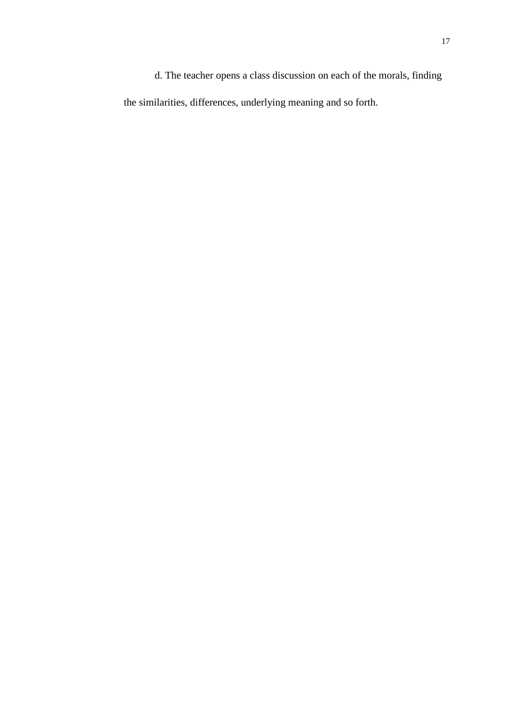d. The teacher opens a class discussion on each of the morals, finding the similarities, differences, underlying meaning and so forth.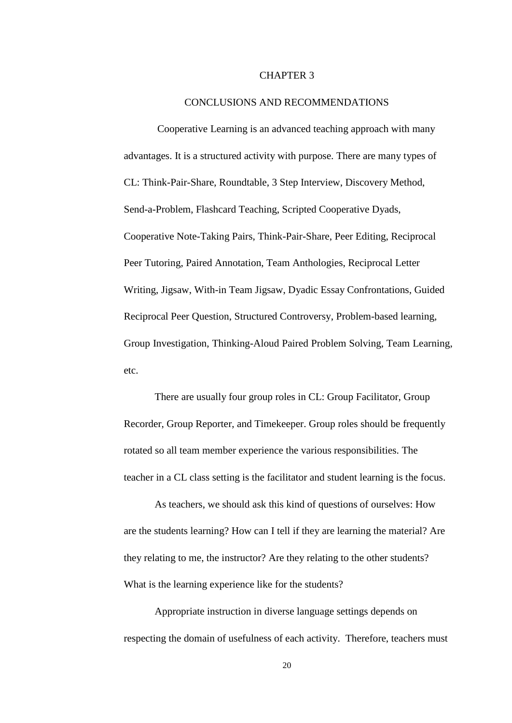#### CHAPTER 3

### CONCLUSIONS AND RECOMMENDATIONS

Cooperative Learning is an advanced teaching approach with many advantages. It is a structured activity with purpose. There are many types of CL: Think-Pair-Share, Roundtable, 3 Step Interview, Discovery Method, Send-a-Problem, Flashcard Teaching, Scripted Cooperative Dyads, Cooperative Note-Taking Pairs, Think-Pair-Share, Peer Editing, Reciprocal Peer Tutoring, Paired Annotation, Team Anthologies, Reciprocal Letter Writing, Jigsaw, With-in Team Jigsaw, Dyadic Essay Confrontations, Guided Reciprocal Peer Question, Structured Controversy, Problem-based learning, Group Investigation, Thinking-Aloud Paired Problem Solving, Team Learning, etc.

There are usually four group roles in CL: Group Facilitator, Group Recorder, Group Reporter, and Timekeeper. Group roles should be frequently rotated so all team member experience the various responsibilities. The teacher in a CL class setting is the facilitator and student learning is the focus.

As teachers, we should ask this kind of questions of ourselves: How are the students learning? How can I tell if they are learning the material? Are they relating to me, the instructor? Are they relating to the other students? What is the learning experience like for the students?

Appropriate instruction in diverse language settings depends on respecting the domain of usefulness of each activity. Therefore, teachers must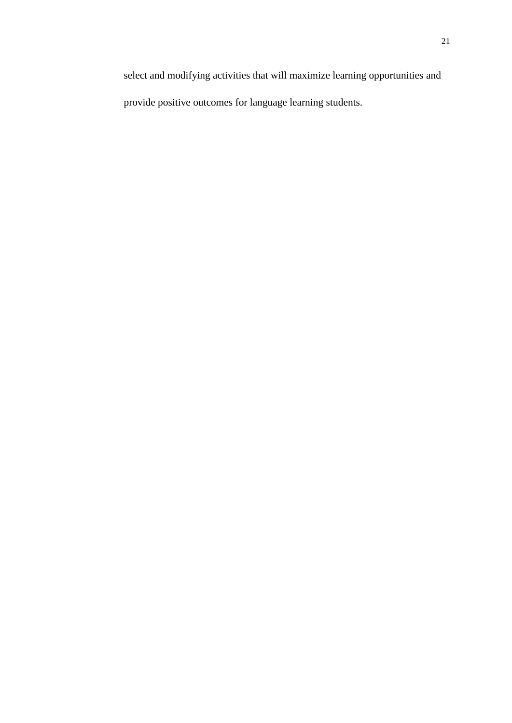select and modifying activities that will maximize learning opportunities and provide positive outcomes for language learning students.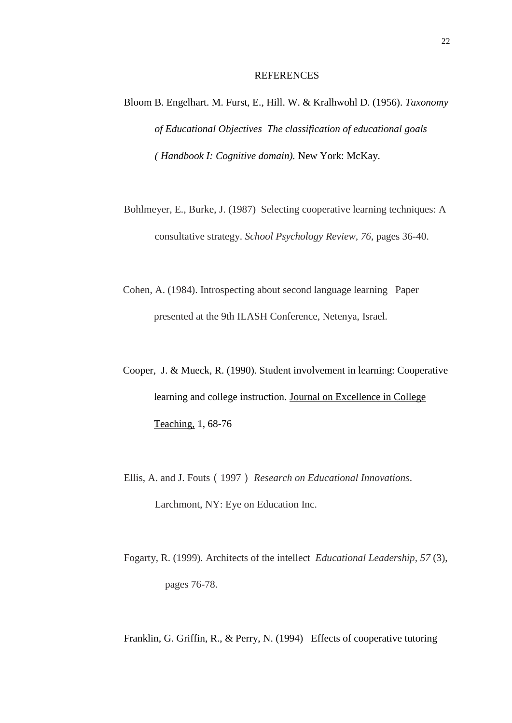#### REFERENCES

- Bloom B. Engelhart. M. Furst, E., Hill. W. & Kralhwohl D. (1956). *Taxonomy of Educational Objectives The classification of educational goals ( Handbook I: Cognitive domain).* New York: McKay.
- Bohlmeyer, E., Burke, J. (1987) Selecting cooperative learning techniques: A consultative strategy. *School Psychology Review, 76*, pages 36-40.
- Cohen, A. (1984). Introspecting about second language learning Paper presented at the 9th ILASH Conference, Netenya, Israel.
- Cooper, J. & Mueck, R. (1990). Student involvement in learning: Cooperative learning and college instruction. Journal on Excellence in College Teaching, 1, 68-76
- Ellis, A. and J. Fouts(1997) *Research on Educational Innovations*. Larchmont, NY: Eye on Education Inc.
- Fogarty, R. (1999). Architects of the intellect *Educational Leadership, 57* (3), pages 76-78.

Franklin, G. Griffin, R., & Perry, N. (1994) Effects of cooperative tutoring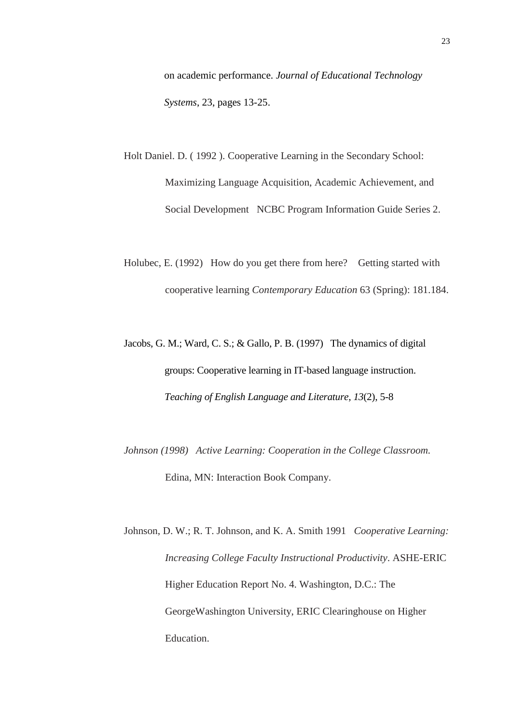on academic performance. *Journal of Educational Technology Systems*, 23, pages 13-25.

- Holt Daniel. D. ( 1992 ). Cooperative Learning in the Secondary School: Maximizing Language Acquisition, Academic Achievement, and Social Development NCBC Program Information Guide Series 2.
- Holubec, E. (1992) How do you get there from here? Getting started with cooperative learning *Contemporary Education* 63 (Spring): 181.184.
- Jacobs, G. M.; Ward, C. S.; & Gallo, P. B. (1997) The dynamics of digital groups: Cooperative learning in IT-based language instruction. *Teaching of English Language and Literature, 13*(2), 5-8
- *Johnson (1998) Active Learning: Cooperation in the College Classroom.*  Edina, MN: Interaction Book Company.
- Johnson, D. W.; R. T. Johnson, and K. A. Smith 1991 *Cooperative Learning: Increasing College Faculty Instructional Productivity*. ASHE-ERIC Higher Education Report No. 4. Washington, D.C.: The GeorgeWashington University, ERIC Clearinghouse on Higher Education.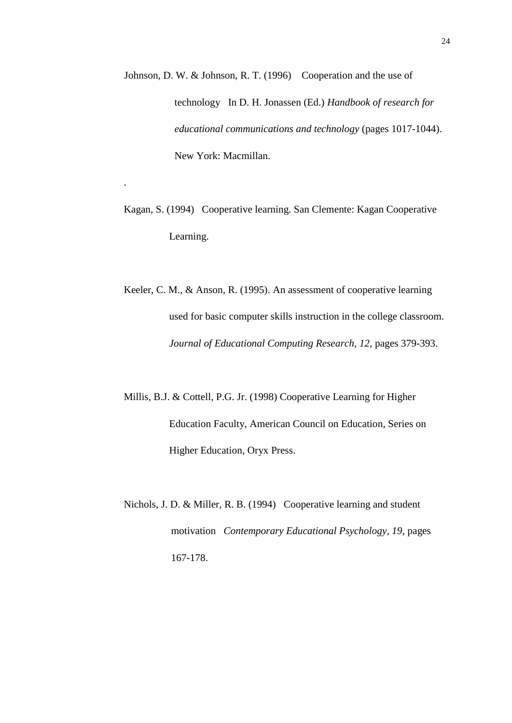- Johnson, D. W. & Johnson, R. T. (1996) Cooperation and the use of technology In D. H. Jonassen (Ed.) *Handbook of research for educational communications and technology* (pages 1017-1044). New York: Macmillan.
- Kagan, S. (1994) Cooperative learning. San Clemente: Kagan Cooperative Learning.

.

- Keeler, C. M., & Anson, R. (1995). An assessment of cooperative learning used for basic computer skills instruction in the college classroom. *Journal of Educational Computing Research*, *12*, pages 379-393.
- Millis, B.J. & Cottell, P.G. Jr. (1998) Cooperative Learning for Higher Education Faculty, American Council on Education, Series on Higher Education, Oryx Press.
- Nichols, J. D. & Miller, R. B. (1994) Cooperative learning and student motivation *Contemporary Educational Psychology, 19*, pages 167-178.